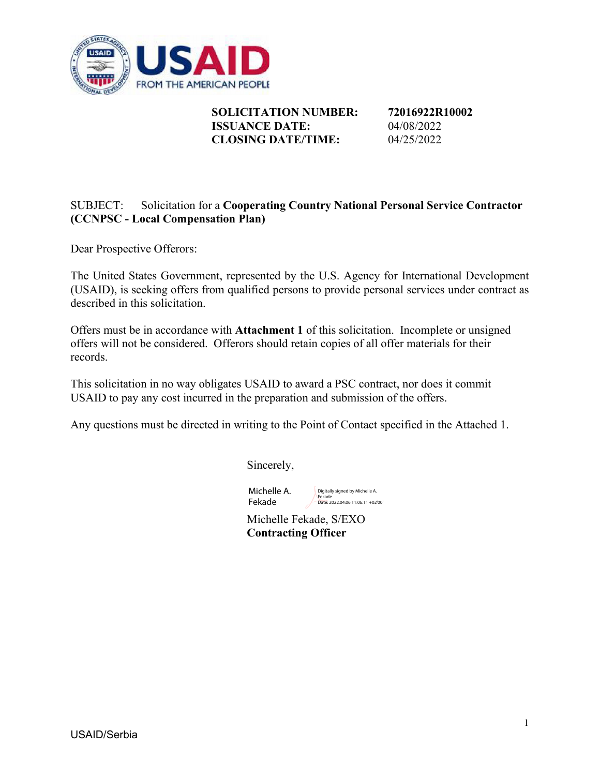

**SOLICITATION NUMBER: 72016922R10002 ISSUANCE DATE:** 04/08/2022 **CLOSING DATE/TIME:** 04/25/2022

### SUBJECT: Solicitation for a **Cooperating Country National Personal Service Contractor (CCNPSC - Local Compensation Plan)**

Dear Prospective Offerors:

The United States Government, represented by the U.S. Agency for International Development (USAID), is seeking offers from qualified persons to provide personal services under contract as described in this solicitation.

Offers must be in accordance with **Attachment 1** of this solicitation. Incomplete or unsigned offers will not be considered. Offerors should retain copies of all offer materials for their records.

This solicitation in no way obligates USAID to award a PSC contract, nor does it commit USAID to pay any cost incurred in the preparation and submission of the offers.

Any questions must be directed in writing to the Point of Contact specified in the Attached 1.

Sincerely,

Michelle A. Fekade

Digitally signed by Michelle A. Fekade Date: 2022.04.06 11:06:11 +02'00'

Michelle Fekade, S/EXO **Contracting Officer**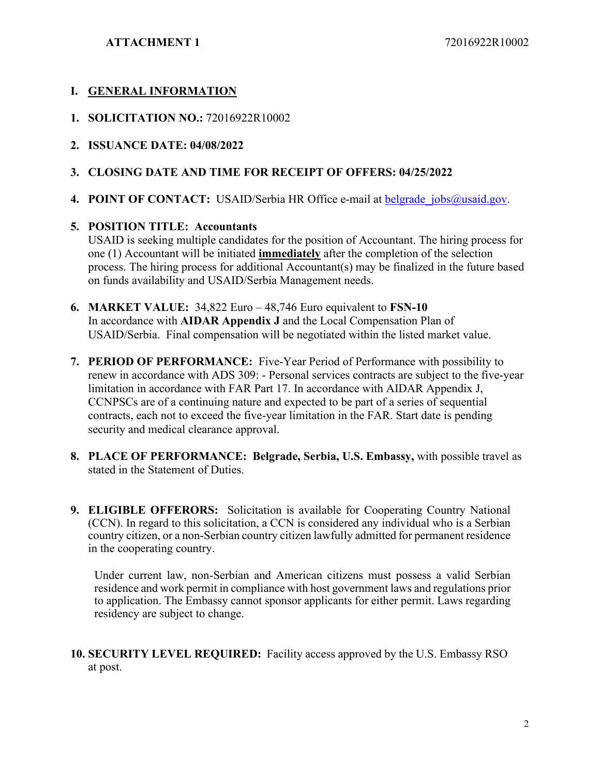**ATTACHMENT 1** 72016922R10002

### **I. GENERAL INFORMATION**

- **1. SOLICITATION NO.:** 72016922R10002
- **2. ISSUANCE DATE: 04/08/2022**

### **3. CLOSING DATE AND TIME FOR RECEIPT OF OFFERS: 04/25/2022**

**4. POINT OF CONTACT:** USAID/Serbia HR Office e-mail at belgrade jobs@usaid.gov.

#### **5. POSITION TITLE: Accountants**

USAID is seeking multiple candidates for the position of Accountant. The hiring process for one (1) Accountant will be initiated **immediately** after the completion of the selection process. The hiring process for additional Accountant(s) may be finalized in the future based on funds availability and USAID/Serbia Management needs.

- **6. MARKET VALUE:** 34,822 Euro 48,746 Euro equivalent to **FSN-10** In accordance with **AIDAR Appendix J** and the Local Compensation Plan of USAID/Serbia. Final compensation will be negotiated within the listed market value.
- **7. PERIOD OF PERFORMANCE:** Five-Year Period of Performance with possibility to renew in accordance with ADS 309: - Personal services contracts are subject to the five-year limitation in accordance with FAR Part 17. In accordance with AIDAR Appendix J, CCNPSCs are of a continuing nature and expected to be part of a series of sequential contracts, each not to exceed the five-year limitation in the FAR. Start date is pending security and medical clearance approval.
- **8. PLACE OF PERFORMANCE: Belgrade, Serbia, U.S. Embassy,** with possible travel as stated in the Statement of Duties.
- **9. ELIGIBLE OFFERORS:** Solicitation is available for Cooperating Country National (CCN). In regard to this solicitation, a CCN is considered any individual who is a Serbian country citizen, or a non-Serbian country citizen lawfully admitted for permanent residence in the cooperating country.

Under current law, non-Serbian and American citizens must possess a valid Serbian residence and work permit in compliance with host government laws and regulations prior to application. The Embassy cannot sponsor applicants for either permit. Laws regarding residency are subject to change.

**10. SECURITY LEVEL REQUIRED:** Facility access approved by the U.S. Embassy RSO at post.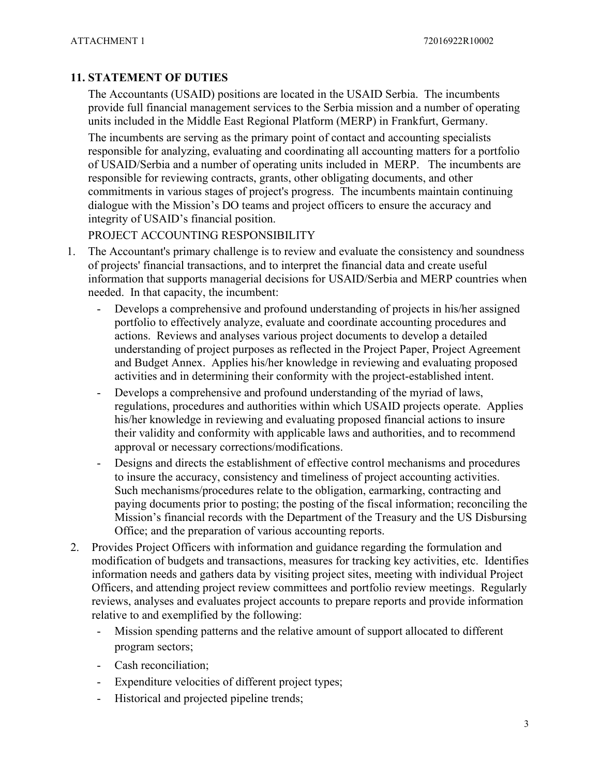## **11. STATEMENT OF DUTIES**

The Accountants (USAID) positions are located in the USAID Serbia. The incumbents provide full financial management services to the Serbia mission and a number of operating units included in the Middle East Regional Platform (MERP) in Frankfurt, Germany.

The incumbents are serving as the primary point of contact and accounting specialists responsible for analyzing, evaluating and coordinating all accounting matters for a portfolio of USAID/Serbia and a number of operating units included in MERP. The incumbents are responsible for reviewing contracts, grants, other obligating documents, and other commitments in various stages of project's progress. The incumbents maintain continuing dialogue with the Mission's DO teams and project officers to ensure the accuracy and integrity of USAID's financial position.

PROJECT ACCOUNTING RESPONSIBILITY

- 1. The Accountant's primary challenge is to review and evaluate the consistency and soundness of projects' financial transactions, and to interpret the financial data and create useful information that supports managerial decisions for USAID/Serbia and MERP countries when needed. In that capacity, the incumbent:
	- Develops a comprehensive and profound understanding of projects in his/her assigned portfolio to effectively analyze, evaluate and coordinate accounting procedures and actions. Reviews and analyses various project documents to develop a detailed understanding of project purposes as reflected in the Project Paper, Project Agreement and Budget Annex. Applies his/her knowledge in reviewing and evaluating proposed activities and in determining their conformity with the project-established intent.
	- Develops a comprehensive and profound understanding of the myriad of laws, regulations, procedures and authorities within which USAID projects operate. Applies his/her knowledge in reviewing and evaluating proposed financial actions to insure their validity and conformity with applicable laws and authorities, and to recommend approval or necessary corrections/modifications.
	- Designs and directs the establishment of effective control mechanisms and procedures to insure the accuracy, consistency and timeliness of project accounting activities. Such mechanisms/procedures relate to the obligation, earmarking, contracting and paying documents prior to posting; the posting of the fiscal information; reconciling the Mission's financial records with the Department of the Treasury and the US Disbursing Office; and the preparation of various accounting reports.
- 2. Provides Project Officers with information and guidance regarding the formulation and modification of budgets and transactions, measures for tracking key activities, etc. Identifies information needs and gathers data by visiting project sites, meeting with individual Project Officers, and attending project review committees and portfolio review meetings. Regularly reviews, analyses and evaluates project accounts to prepare reports and provide information relative to and exemplified by the following:
	- Mission spending patterns and the relative amount of support allocated to different program sectors;
	- Cash reconciliation;
	- Expenditure velocities of different project types;
	- Historical and projected pipeline trends;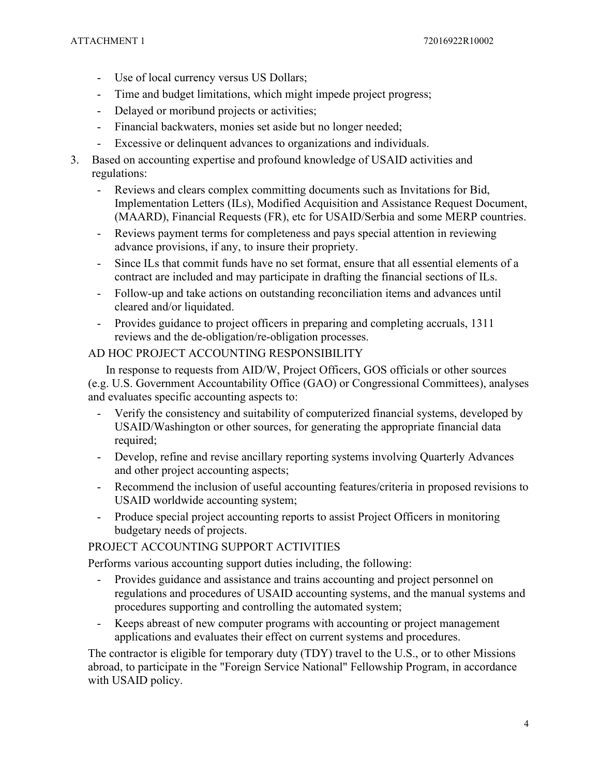- Use of local currency versus US Dollars;
- Time and budget limitations, which might impede project progress;
- Delayed or moribund projects or activities;
- Financial backwaters, monies set aside but no longer needed;
- Excessive or delinquent advances to organizations and individuals.
- 3. Based on accounting expertise and profound knowledge of USAID activities and regulations:
	- Reviews and clears complex committing documents such as Invitations for Bid, Implementation Letters (ILs), Modified Acquisition and Assistance Request Document, (MAARD), Financial Requests (FR), etc for USAID/Serbia and some MERP countries.
	- Reviews payment terms for completeness and pays special attention in reviewing advance provisions, if any, to insure their propriety.
	- Since ILs that commit funds have no set format, ensure that all essential elements of a contract are included and may participate in drafting the financial sections of ILs.
	- Follow-up and take actions on outstanding reconciliation items and advances until cleared and/or liquidated.
	- Provides guidance to project officers in preparing and completing accruals, 1311 reviews and the de-obligation/re-obligation processes.

### AD HOC PROJECT ACCOUNTING RESPONSIBILITY

In response to requests from AID/W, Project Officers, GOS officials or other sources (e.g. U.S. Government Accountability Office (GAO) or Congressional Committees), analyses and evaluates specific accounting aspects to:

- Verify the consistency and suitability of computerized financial systems, developed by USAID/Washington or other sources, for generating the appropriate financial data required;
- Develop, refine and revise ancillary reporting systems involving Quarterly Advances and other project accounting aspects;
- Recommend the inclusion of useful accounting features/criteria in proposed revisions to USAID worldwide accounting system;
- Produce special project accounting reports to assist Project Officers in monitoring budgetary needs of projects.

### PROJECT ACCOUNTING SUPPORT ACTIVITIES

Performs various accounting support duties including, the following:

- Provides guidance and assistance and trains accounting and project personnel on regulations and procedures of USAID accounting systems, and the manual systems and procedures supporting and controlling the automated system;
- Keeps abreast of new computer programs with accounting or project management applications and evaluates their effect on current systems and procedures.

The contractor is eligible for temporary duty (TDY) travel to the U.S., or to other Missions abroad, to participate in the "Foreign Service National" Fellowship Program, in accordance with USAID policy.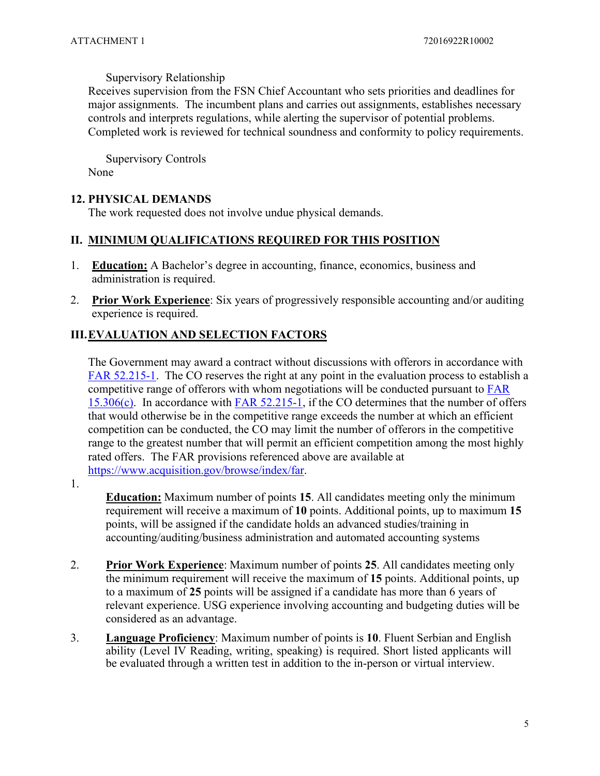#### Supervisory Relationship

Receives supervision from the FSN Chief Accountant who sets priorities and deadlines for major assignments. The incumbent plans and carries out assignments, establishes necessary controls and interprets regulations, while alerting the supervisor of potential problems. Completed work is reviewed for technical soundness and conformity to policy requirements.

Supervisory Controls None

#### **12. PHYSICAL DEMANDS**

The work requested does not involve undue physical demands.

#### **II. MINIMUM QUALIFICATIONS REQUIRED FOR THIS POSITION**

- 1. **Education:** A Bachelor's degree in accounting, finance, economics, business and administration is required.
- 2. **Prior Work Experience**: Six years of progressively responsible accounting and/or auditing experience is required.

### **III.EVALUATION AND SELECTION FACTORS**

The Government may award a contract without discussions with offerors in accordance with [FAR 52.215-1.](https://www.acquisition.gov/browse/index/far) The CO reserves the right at any point in the evaluation process to establish a competitive range of offerors with whom negotiations will be conducted pursuant to [FAR](https://www.acquisition.gov/browse/index/far)  [15.306\(c\).](https://www.acquisition.gov/browse/index/far) In accordance with [FAR 52.215-1,](https://www.acquisition.gov/browse/index/far) if the CO determines that the number of offers that would otherwise be in the competitive range exceeds the number at which an efficient competition can be conducted, the CO may limit the number of offerors in the competitive range to the greatest number that will permit an efficient competition among the most highly rated offers. The FAR provisions referenced above are available at [https://www.acquisition.gov/browse/index/far.](https://www.acquisition.gov/browse/index/far)

1.

**Education:** Maximum number of points **15**. All candidates meeting only the minimum requirement will receive a maximum of **10** points. Additional points, up to maximum **15** points, will be assigned if the candidate holds an advanced studies/training in accounting/auditing/business administration and automated accounting systems

- 2. **Prior Work Experience**: Maximum number of points **25**. All candidates meeting only the minimum requirement will receive the maximum of **15** points. Additional points, up to a maximum of **25** points will be assigned if a candidate has more than 6 years of relevant experience. USG experience involving accounting and budgeting duties will be considered as an advantage.
- 3. **Language Proficiency**: Maximum number of points is **10**. Fluent Serbian and English ability (Level IV Reading, writing, speaking) is required. Short listed applicants will be evaluated through a written test in addition to the in-person or virtual interview.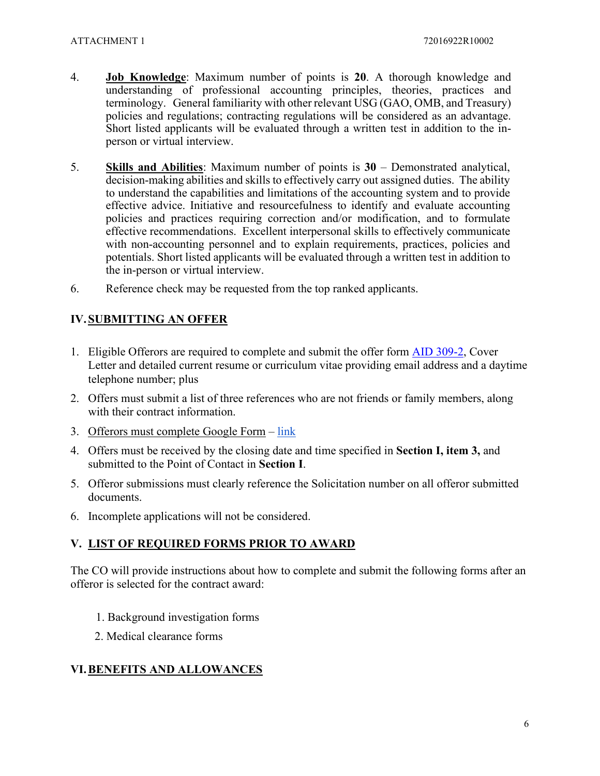- 4. **Job Knowledge**: Maximum number of points is **20**. A thorough knowledge and understanding of professional accounting principles, theories, practices and terminology. General familiarity with other relevant USG (GAO, OMB, and Treasury) policies and regulations; contracting regulations will be considered as an advantage. Short listed applicants will be evaluated through a written test in addition to the inperson or virtual interview.
- 5. **Skills and Abilities**: Maximum number of points is **30** Demonstrated analytical, decision-making abilities and skills to effectively carry out assigned duties. The ability to understand the capabilities and limitations of the accounting system and to provide effective advice. Initiative and resourcefulness to identify and evaluate accounting policies and practices requiring correction and/or modification, and to formulate effective recommendations. Excellent interpersonal skills to effectively communicate with non-accounting personnel and to explain requirements, practices, policies and potentials. Short listed applicants will be evaluated through a written test in addition to the in-person or virtual interview.
- 6. Reference check may be requested from the top ranked applicants.

## **IV. SUBMITTING AN OFFER**

- 1. Eligible Offerors are required to complete and submit the offer form [AID 309-2,](https://www.usaid.gov/forms/aid-309-2) Cover Letter and detailed current resume or curriculum vitae providing email address and a daytime telephone number; plus
- 2. Offers must submit a list of three references who are not friends or family members, along with their contract information.
- 3. Offerors must complete Google Form – [link](https://docs.google.com/forms/d/e/1FAIpQLSdrewccfGZy-V5D2-4zOxOu6zXxg2QvS6N-UsFeJqaLiztwfA/viewform?usp=pp_url)
- 4. Offers must be received by the closing date and time specified in **Section I, item 3,** and submitted to the Point of Contact in **Section I**.
- 5. Offeror submissions must clearly reference the Solicitation number on all offeror submitted documents.
- 6. Incomplete applications will not be considered.

### **V. LIST OF REQUIRED FORMS PRIOR TO AWARD**

The CO will provide instructions about how to complete and submit the following forms after an offeror is selected for the contract award:

- 1. Background investigation forms
- 2. Medical clearance forms

#### **VI.BENEFITS AND ALLOWANCES**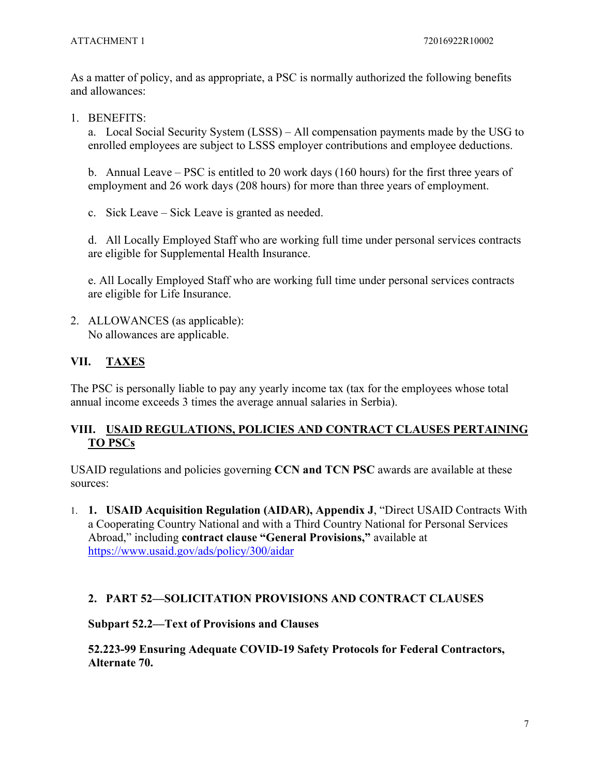As a matter of policy, and as appropriate, a PSC is normally authorized the following benefits and allowances:

1. BENEFITS:

a. Local Social Security System (LSSS) – All compensation payments made by the USG to enrolled employees are subject to LSSS employer contributions and employee deductions.

b. Annual Leave – PSC is entitled to 20 work days (160 hours) for the first three years of employment and 26 work days (208 hours) for more than three years of employment.

c. Sick Leave – Sick Leave is granted as needed.

d. All Locally Employed Staff who are working full time under personal services contracts are eligible for Supplemental Health Insurance.

e. All Locally Employed Staff who are working full time under personal services contracts are eligible for Life Insurance.

2. ALLOWANCES (as applicable): No allowances are applicable.

# **VII. TAXES**

The PSC is personally liable to pay any yearly income tax (tax for the employees whose total annual income exceeds 3 times the average annual salaries in Serbia).

## **VIII. USAID REGULATIONS, POLICIES AND CONTRACT CLAUSES PERTAINING TO PSCs**

USAID regulations and policies governing **CCN and TCN PSC** awards are available at these sources:

1. **1. USAID Acquisition Regulation (AIDAR), Appendix J**, "Direct USAID Contracts With a Cooperating Country National and with a Third Country National for Personal Services Abroad," including **contract clause "General Provisions,"** available at <https://www.usaid.gov/ads/policy/300/aidar>

### **2. PART 52—SOLICITATION PROVISIONS AND CONTRACT CLAUSES**

### **Subpart 52.2—Text of Provisions and Clauses**

**52.223-99 Ensuring Adequate COVID-19 Safety Protocols for Federal Contractors, Alternate 70.**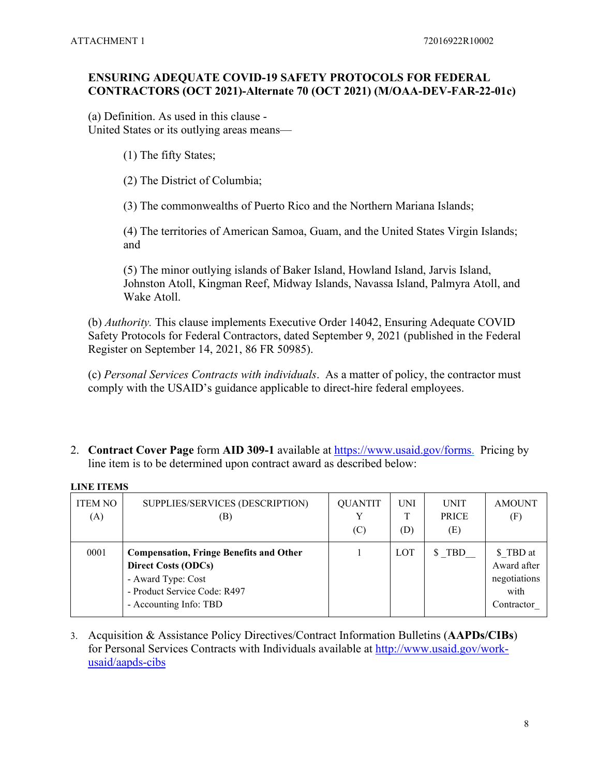### **ENSURING ADEQUATE COVID-19 SAFETY PROTOCOLS FOR FEDERAL CONTRACTORS (OCT 2021)-Alternate 70 (OCT 2021) (M/OAA-DEV-FAR-22-01c)**

(a) Definition. As used in this clause - United States or its outlying areas means—

- (1) The fifty States;
- (2) The District of Columbia;

(3) The commonwealths of Puerto Rico and the Northern Mariana Islands;

(4) The territories of American Samoa, Guam, and the United States Virgin Islands; and

(5) The minor outlying islands of Baker Island, Howland Island, Jarvis Island, Johnston Atoll, Kingman Reef, Midway Islands, Navassa Island, Palmyra Atoll, and Wake Atoll.

(b) *Authority.* This clause implements Executive Order 14042, Ensuring Adequate COVID Safety Protocols for Federal Contractors, dated September 9, 2021 (published in the Federal Register on September 14, 2021, 86 FR 50985).

(c) *Personal Services Contracts with individuals*. As a matter of policy, the contractor must comply with the USAID's guidance applicable to direct-hire federal employees.

2. **Contract Cover Page** form **AID 309-1** available at [https://www.usaid.gov/forms.](https://www.usaid.gov/forms) Pricing by line item is to be determined upon contract award as described below:

| енте н еко            |                                                                                                                                                              |                       |                   |                                    |                                                                |
|-----------------------|--------------------------------------------------------------------------------------------------------------------------------------------------------------|-----------------------|-------------------|------------------------------------|----------------------------------------------------------------|
| <b>ITEM NO</b><br>(A) | SUPPLIES/SERVICES (DESCRIPTION)<br>(B)                                                                                                                       | <b>QUANTIT</b><br>(C) | <b>UNI</b><br>(D) | <b>UNIT</b><br><b>PRICE</b><br>(E) | <b>AMOUNT</b><br>(F)                                           |
| 0001                  | <b>Compensation, Fringe Benefits and Other</b><br><b>Direct Costs (ODCs)</b><br>- Award Type: Cost<br>- Product Service Code: R497<br>- Accounting Info: TBD |                       | LOT               | \$ TBD                             | \$ TBD at<br>Award after<br>negotiations<br>with<br>Contractor |

### **LINE ITEMS**

3. Acquisition & Assistance Policy Directives/Contract Information Bulletins (**AAPDs/CIBs**) for Personal Services Contracts with Individuals available at [http://www.usaid.gov/work](http://www.usaid.gov/work-usaid/aapds-cibs)[usaid/aapds-cibs](http://www.usaid.gov/work-usaid/aapds-cibs)